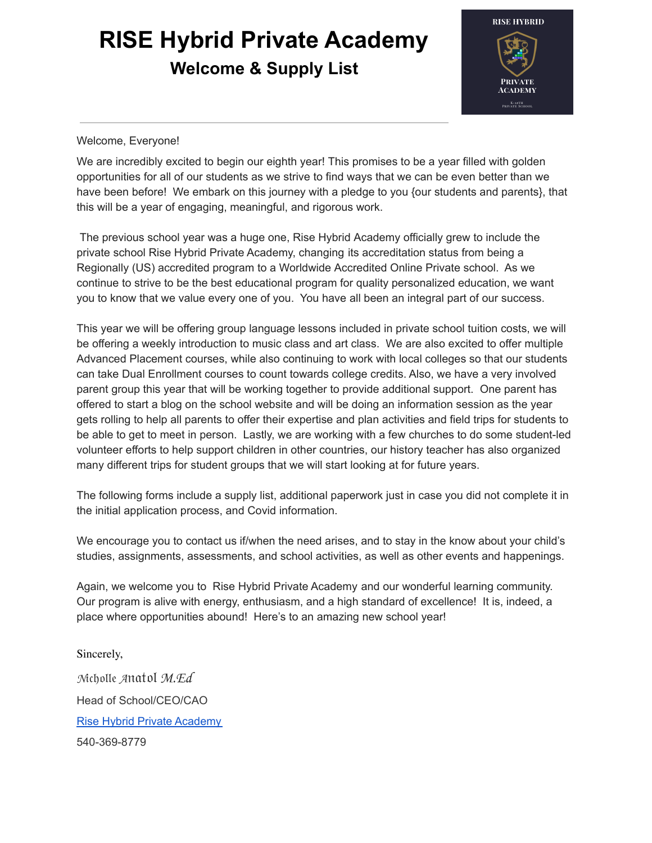# **RISE Hybrid Private Academy Welcome & Supply List**



#### Welcome, Everyone!

We are incredibly excited to begin our eighth year! This promises to be a year filled with golden opportunities for all of our students as we strive to find ways that we can be even better than we have been before! We embark on this journey with a pledge to you {our students and parents}, that this will be a year of engaging, meaningful, and rigorous work.

The previous school year was a huge one, Rise Hybrid Academy officially grew to include the private school Rise Hybrid Private Academy, changing its accreditation status from being a Regionally (US) accredited program to a Worldwide Accredited Online Private school. As we continue to strive to be the best educational program for quality personalized education, we want you to know that we value every one of you. You have all been an integral part of our success.

This year we will be offering group language lessons included in private school tuition costs, we will be offering a weekly introduction to music class and art class. We are also excited to offer multiple Advanced Placement courses, while also continuing to work with local colleges so that our students can take Dual Enrollment courses to count towards college credits. Also, we have a very involved parent group this year that will be working together to provide additional support. One parent has offered to start a blog on the school website and will be doing an information session as the year gets rolling to help all parents to offer their expertise and plan activities and field trips for students to be able to get to meet in person. Lastly, we are working with a few churches to do some student-led volunteer efforts to help support children in other countries, our history teacher has also organized many different trips for student groups that we will start looking at for future years.

The following forms include a supply list, additional paperwork just in case you did not complete it in the initial application process, and Covid information.

We encourage you to contact us if/when the need arises, and to stay in the know about your child's studies, assignments, assessments, and school activities, as well as other events and happenings.

Again, we welcome you to Rise Hybrid Private Academy and our wonderful learning community. Our program is alive with energy, enthusiasm, and a high standard of excellence! It is, indeed, a place where opportunities abound! Here's to an amazing new school year!

Sincerely, Mcholle Anatol M.Ed Head of School/CEO/CAO Rise Hybrid Private Academy 540-369-8779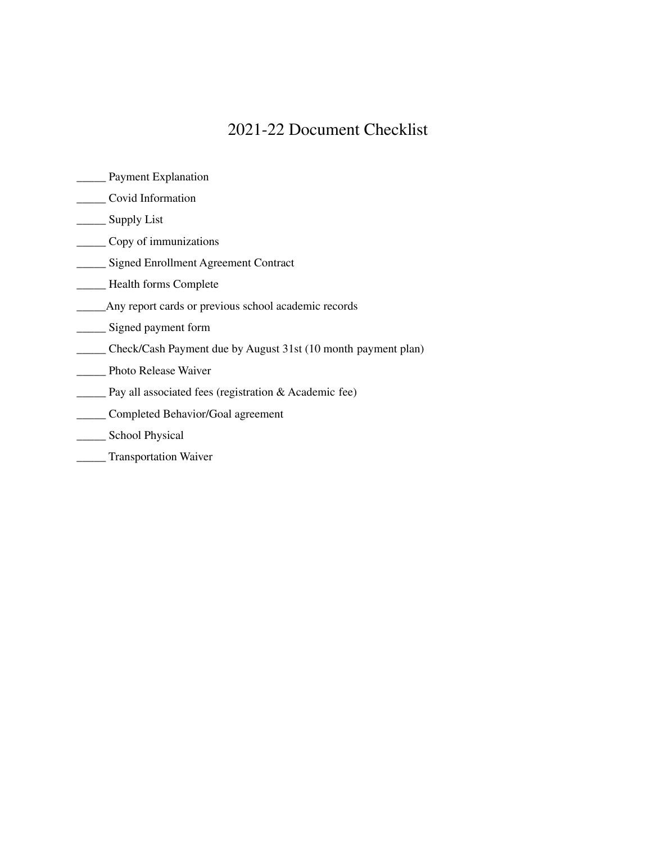## 2021-22 Document Checklist

- \_\_\_\_\_ Payment Explanation
- \_\_\_\_\_ Covid Information
- \_\_\_\_\_\_ Supply List
- \_\_\_\_\_ Copy of immunizations
- \_\_\_\_\_ Signed Enrollment Agreement Contract
- \_\_\_\_\_ Health forms Complete
- \_\_\_\_\_Any report cards or previous school academic records
- \_\_\_\_\_ Signed payment form
- \_\_\_\_\_ Check/Cash Payment due by August 31st (10 month payment plan)
- \_\_\_\_\_ Photo Release Waiver
- \_\_\_\_\_ Pay all associated fees (registration & Academic fee)
- \_\_\_\_\_ Completed Behavior/Goal agreement
- \_\_\_\_\_ School Physical
- \_\_\_\_\_ Transportation Waiver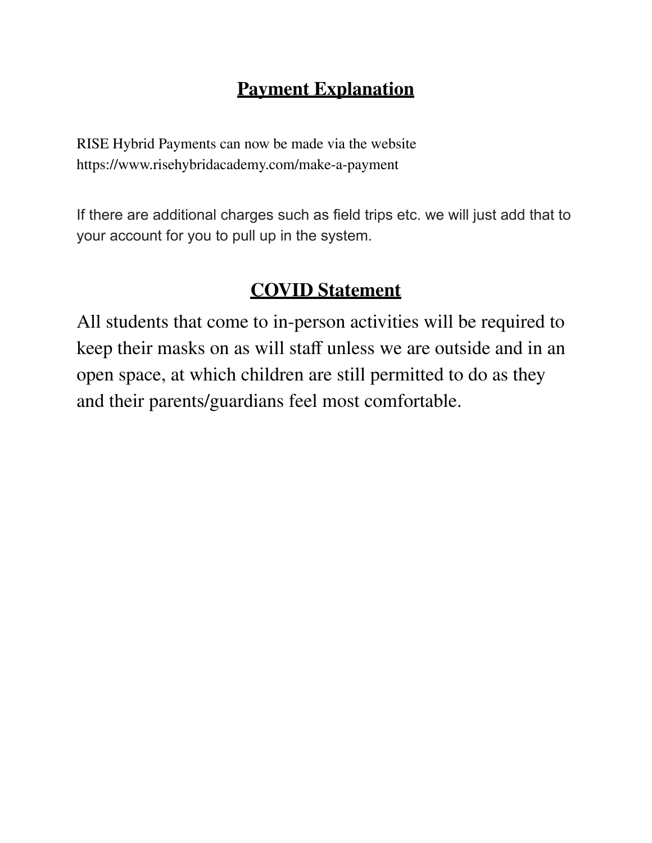## **Payment Explanation**

RISE Hybrid Payments can now be made via the website https://www.risehybridacademy.com/make-a-payment

If there are additional charges such as field trips etc. we will just add that to your account for you to pull up in the system.

## **COVID Statement**

All students that come to in-person activities will be required to keep their masks on as will staff unless we are outside and in an open space, at which children are still permitted to do as they and their parents/guardians feel most comfortable.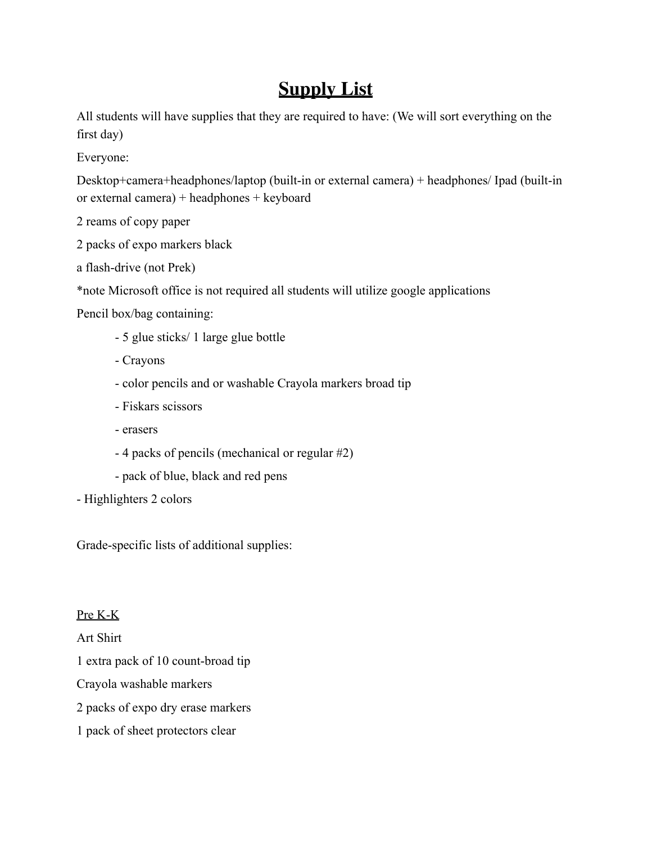## **Supply List**

All students will have supplies that they are required to have: (We will sort everything on the first day)

Everyone:

Desktop+camera+headphones/laptop (built-in or external camera) + headphones/ Ipad (built-in or external camera) + headphones + keyboard

2 reams of copy paper

- 2 packs of expo markers black
- a flash-drive (not Prek)

\*note Microsoft office is not required all students will utilize google applications

Pencil box/bag containing:

- 5 glue sticks/ 1 large glue bottle
- Crayons
- color pencils and or washable Crayola markers broad tip
- Fiskars scissors
- erasers
- 4 packs of pencils (mechanical or regular #2)
- pack of blue, black and red pens
- Highlighters 2 colors

Grade-specific lists of additional supplies:

Pre K-K

Art Shirt

1 extra pack of 10 count-broad tip

Crayola washable markers

2 packs of expo dry erase markers

1 pack of sheet protectors clear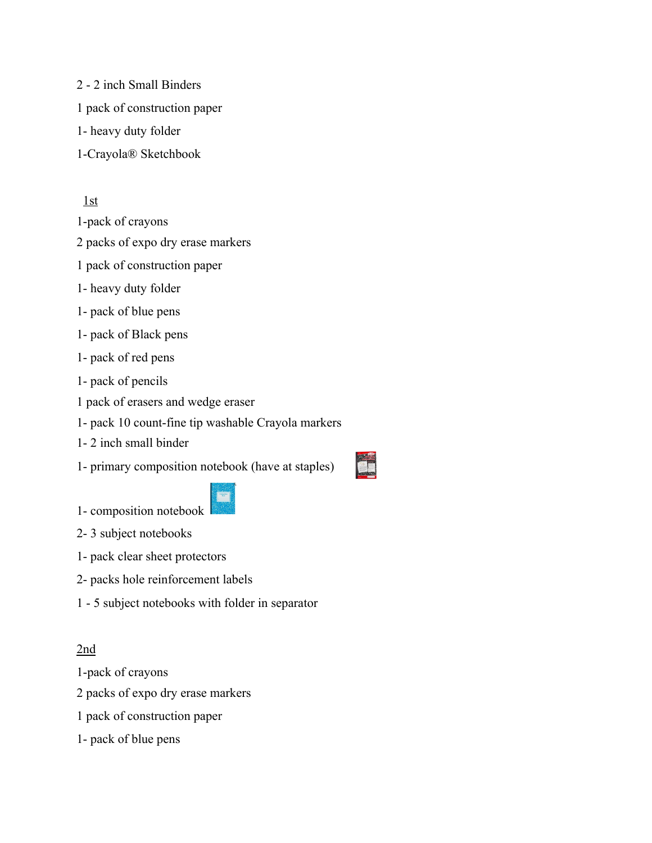2 - 2 inch Small Binders 1 pack of construction paper 1- heavy duty folder 1-Crayola® Sketchbook

1st

1-pack of crayons

2 packs of expo dry erase markers

1 pack of construction paper

- 1- heavy duty folder
- 1- pack of blue pens
- 1- pack of Black pens
- 1- pack of red pens
- 1- pack of pencils
- 1 pack of erasers and wedge eraser
- 1- pack 10 count-fine tip washable Crayola markers
- 1- 2 inch small binder

1- primary composition notebook (have at staples)

1- composition notebook

- 2- 3 subject notebooks
- 1- pack clear sheet protectors
- 2- packs hole reinforcement labels
- 1 5 subject notebooks with folder in separator

#### 2nd

- 1-pack of crayons
- 2 packs of expo dry erase markers
- 1 pack of construction paper
- 1- pack of blue pens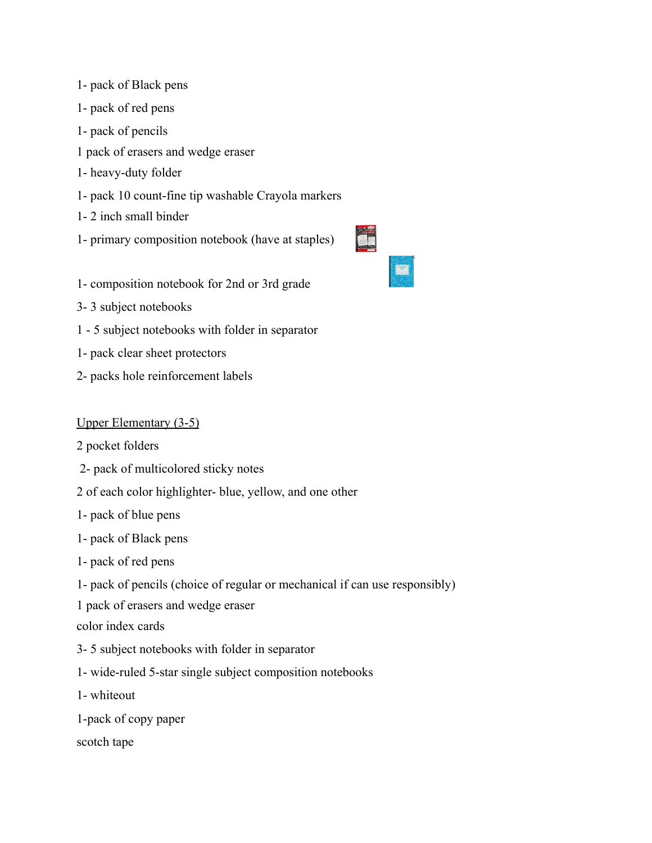- 1- pack of Black pens
- 1- pack of red pens
- 1- pack of pencils
- 1 pack of erasers and wedge eraser
- 1- heavy-duty folder
- 1- pack 10 count-fine tip washable Crayola markers
- 1- 2 inch small binder
- 1- primary composition notebook (have at staples)
- 1- composition notebook for 2nd or 3rd grade
- 3- 3 subject notebooks
- 1 5 subject notebooks with folder in separator
- 1- pack clear sheet protectors
- 2- packs hole reinforcement labels

#### Upper Elementary (3-5)

- 2 pocket folders
- 2- pack of multicolored sticky notes
- 2 of each color highlighter- blue, yellow, and one other
- 1- pack of blue pens
- 1- pack of Black pens
- 1- pack of red pens
- 1- pack of pencils (choice of regular or mechanical if can use responsibly)
- 1 pack of erasers and wedge eraser
- color index cards
- 3- 5 subject notebooks with folder in separator
- 1- wide-ruled 5-star single subject composition notebooks
- 1- whiteout
- 1-pack of copy paper
- scotch tape

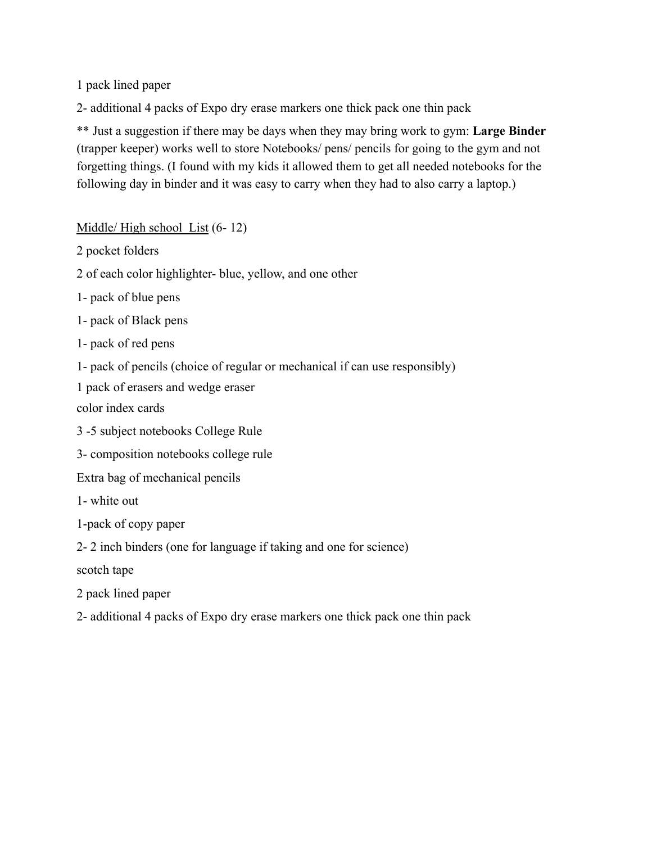1 pack lined paper

2- additional 4 packs of Expo dry erase markers one thick pack one thin pack

\*\* Just a suggestion if there may be days when they may bring work to gym: **Large Binder** (trapper keeper) works well to store Notebooks/ pens/ pencils for going to the gym and not forgetting things. (I found with my kids it allowed them to get all needed notebooks for the following day in binder and it was easy to carry when they had to also carry a laptop.)

Middle/ High school List (6- 12)

2 pocket folders

2 of each color highlighter- blue, yellow, and one other

1- pack of blue pens

1- pack of Black pens

1- pack of red pens

1- pack of pencils (choice of regular or mechanical if can use responsibly)

1 pack of erasers and wedge eraser

color index cards

3 -5 subject notebooks College Rule

3- composition notebooks college rule

Extra bag of mechanical pencils

1- white out

1-pack of copy paper

2- 2 inch binders (one for language if taking and one for science)

scotch tape

2 pack lined paper

2- additional 4 packs of Expo dry erase markers one thick pack one thin pack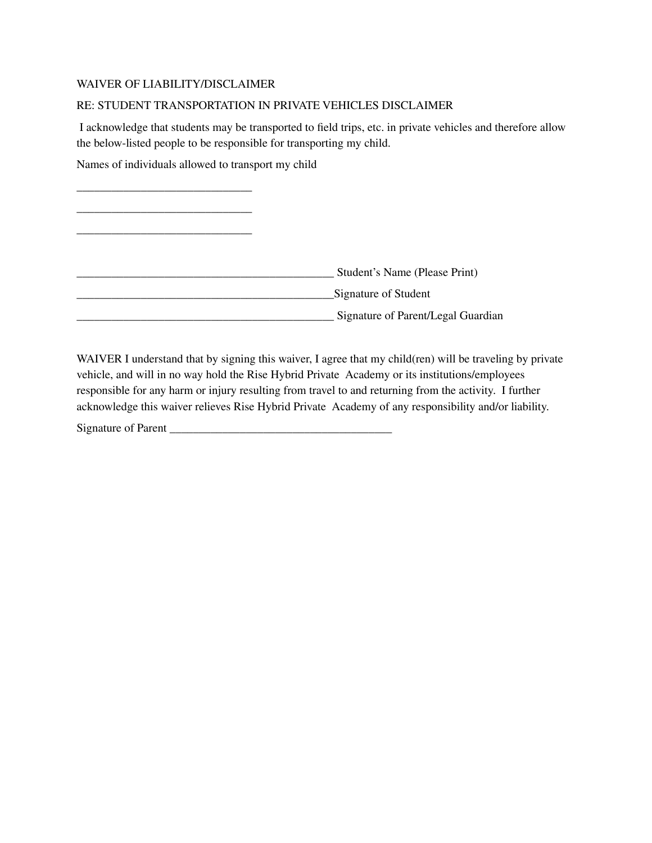#### WAIVER OF LIABILITY/DISCLAIMER

#### RE: STUDENT TRANSPORTATION IN PRIVATE VEHICLES DISCLAIMER

I acknowledge that students may be transported to field trips, etc. in private vehicles and therefore allow the below-listed people to be responsible for transporting my child.

Names of individuals allowed to transport my child

| Student's Name (Please Print)      |
|------------------------------------|
| Signature of Student               |
| Signature of Parent/Legal Guardian |

WAIVER I understand that by signing this waiver, I agree that my child(ren) will be traveling by private vehicle, and will in no way hold the Rise Hybrid Private Academy or its institutions/employees responsible for any harm or injury resulting from travel to and returning from the activity. I further acknowledge this waiver relieves Rise Hybrid Private Academy of any responsibility and/or liability.

Signature of Parent  $\blacksquare$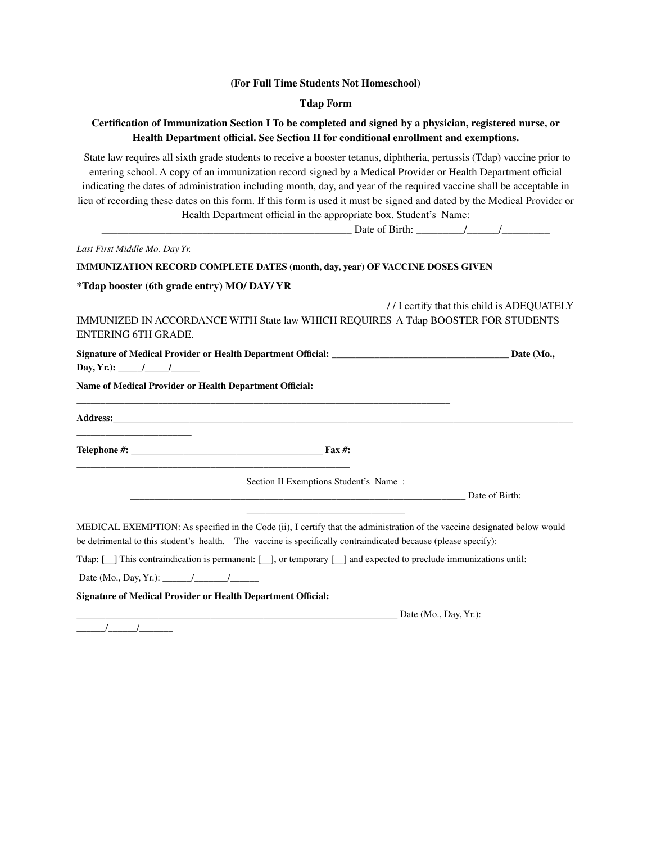#### **(For Full Time Students Not Homeschool)**

#### **Tdap Form**

#### **Certification of Immunization Section I To be completed and signed by a physician, registered nurse, or Health Department official. See Section II for conditional enrollment and exemptions.**

State law requires all sixth grade students to receive a booster tetanus, diphtheria, pertussis (Tdap) vaccine prior to entering school. A copy of an immunization record signed by a Medical Provider or Health Department official indicating the dates of administration including month, day, and year of the required vaccine shall be acceptable in lieu of recording these dates on this form. If this form is used it must be signed and dated by the Medical Provider or Health Department official in the appropriate box. Student's Name:

|                                                                     | Date of Birth: $\frac{1}{\sqrt{2\pi}}$                                                                                                                                                                                                      |                          |                                           |
|---------------------------------------------------------------------|---------------------------------------------------------------------------------------------------------------------------------------------------------------------------------------------------------------------------------------------|--------------------------|-------------------------------------------|
| Last First Middle Mo. Day Yr.                                       |                                                                                                                                                                                                                                             |                          |                                           |
|                                                                     | <b>IMMUNIZATION RECORD COMPLETE DATES (month, day, year) OF VACCINE DOSES GIVEN</b>                                                                                                                                                         |                          |                                           |
| *Tdap booster (6th grade entry) MO/ DAY/ YR                         |                                                                                                                                                                                                                                             |                          |                                           |
| <b>ENTERING 6TH GRADE.</b>                                          | IMMUNIZED IN ACCORDANCE WITH State law WHICH REQUIRES A Tdap BOOSTER FOR STUDENTS                                                                                                                                                           |                          | //I certify that this child is ADEOUATELY |
| Day, Yr.): $\frac{\sqrt{2}}{2}$                                     |                                                                                                                                                                                                                                             |                          | Date (Mo.,                                |
| Name of Medical Provider or Health Department Official:             |                                                                                                                                                                                                                                             |                          |                                           |
|                                                                     | Address: the contract of the contract of the contract of the contract of the contract of the contract of the contract of the contract of the contract of the contract of the contract of the contract of the contract of the c              |                          |                                           |
|                                                                     |                                                                                                                                                                                                                                             |                          |                                           |
|                                                                     | Section II Exemptions Student's Name:<br>Date of Birth:                                                                                                                                                                                     |                          |                                           |
|                                                                     |                                                                                                                                                                                                                                             |                          |                                           |
|                                                                     | MEDICAL EXEMPTION: As specified in the Code (ii), I certify that the administration of the vaccine designated below would<br>be detrimental to this student's health. The vaccine is specifically contraindicated because (please specify): |                          |                                           |
|                                                                     | Tdap: [10] This contraindication is permanent: [10], or temporary [10] and expected to preclude immunizations until:                                                                                                                        |                          |                                           |
| Date (Mo., Day, Yr.): $\frac{1}{\sqrt{2\pi}}$                       |                                                                                                                                                                                                                                             |                          |                                           |
| <b>Signature of Medical Provider or Health Department Official:</b> |                                                                                                                                                                                                                                             |                          |                                           |
|                                                                     |                                                                                                                                                                                                                                             | Date $(Mo., Day, Yr.)$ : |                                           |

 $\frac{1}{\sqrt{2\pi}}$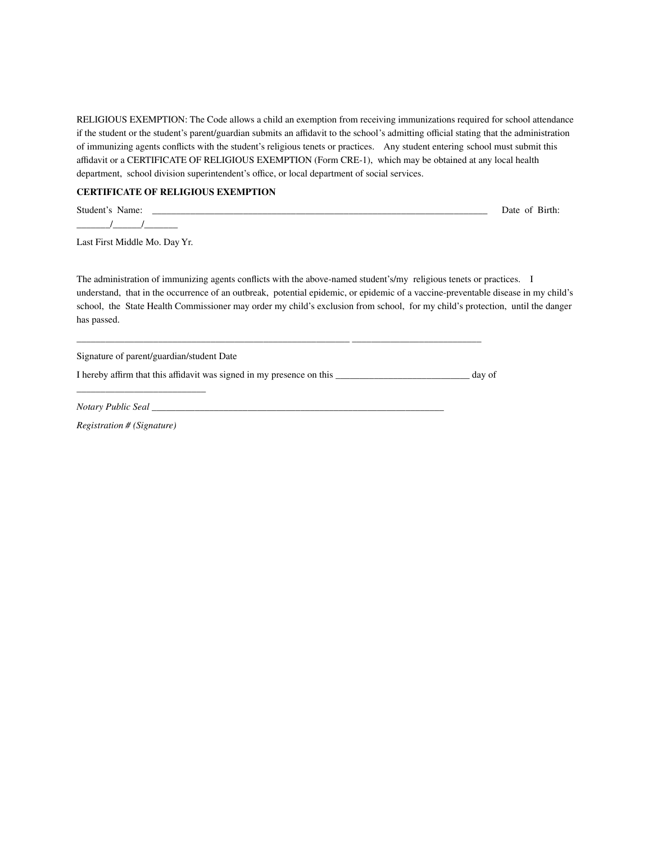RELIGIOUS EXEMPTION: The Code allows a child an exemption from receiving immunizations required for school attendance if the student or the student's parent/guardian submits an affidavit to the school's admitting official stating that the administration of immunizing agents conflicts with the student's religious tenets or practices. Any student entering school must submit this affidavit or a CERTIFICATE OF RELIGIOUS EXEMPTION (Form CRE-1), which may be obtained at any local health department, school division superintendent's office, or local department of social services.

#### **CERTIFICATE OF RELIGIOUS EXEMPTION**

Student's Name: \_\_\_\_\_\_\_\_\_\_\_\_\_\_\_\_\_\_\_\_\_\_\_\_\_\_\_\_\_\_\_\_\_\_\_\_\_\_\_\_\_\_\_\_\_\_\_\_\_\_\_\_\_\_\_\_\_\_\_\_\_\_\_\_\_\_\_\_\_\_ Date of Birth:  $\frac{1}{2}$   $\frac{1}{2}$   $\frac{1}{2}$   $\frac{1}{2}$   $\frac{1}{2}$   $\frac{1}{2}$   $\frac{1}{2}$   $\frac{1}{2}$   $\frac{1}{2}$   $\frac{1}{2}$   $\frac{1}{2}$   $\frac{1}{2}$   $\frac{1}{2}$   $\frac{1}{2}$   $\frac{1}{2}$   $\frac{1}{2}$   $\frac{1}{2}$   $\frac{1}{2}$   $\frac{1}{2}$   $\frac{1}{2}$   $\frac{1}{2}$   $\frac{1}{2}$ 

Last First Middle Mo. Day Yr.

The administration of immunizing agents conflicts with the above-named student's/my religious tenets or practices. I understand, that in the occurrence of an outbreak, potential epidemic, or epidemic of a vaccine-preventable disease in my child's school, the State Health Commissioner may order my child's exclusion from school, for my child's protection, until the danger has passed.

Signature of parent/guardian/student Date

\_\_\_\_\_\_\_\_\_\_\_\_\_\_\_\_\_\_\_\_\_\_\_\_\_\_\_

I hereby affirm that this affidavit was signed in my presence on this \_\_\_\_\_\_\_\_\_\_\_\_\_\_\_\_\_\_\_\_\_\_\_\_\_\_\_\_ day of

\_\_\_\_\_\_\_\_\_\_\_\_\_\_\_\_\_\_\_\_\_\_\_\_\_\_\_\_\_\_\_\_\_\_\_\_\_\_\_\_\_\_\_\_\_\_\_\_\_\_\_\_\_\_\_\_\_ \_\_\_\_\_\_\_\_\_\_\_\_\_\_\_\_\_\_\_\_\_\_\_\_\_\_\_

*Notary Public Seal \_\_\_\_\_\_\_\_\_\_\_\_\_\_\_\_\_\_\_\_\_\_\_\_\_\_\_\_\_\_\_\_\_\_\_\_\_\_\_\_\_\_\_\_\_\_\_\_\_\_\_\_\_\_\_\_\_\_\_\_\_*

*Registration # (Signature)*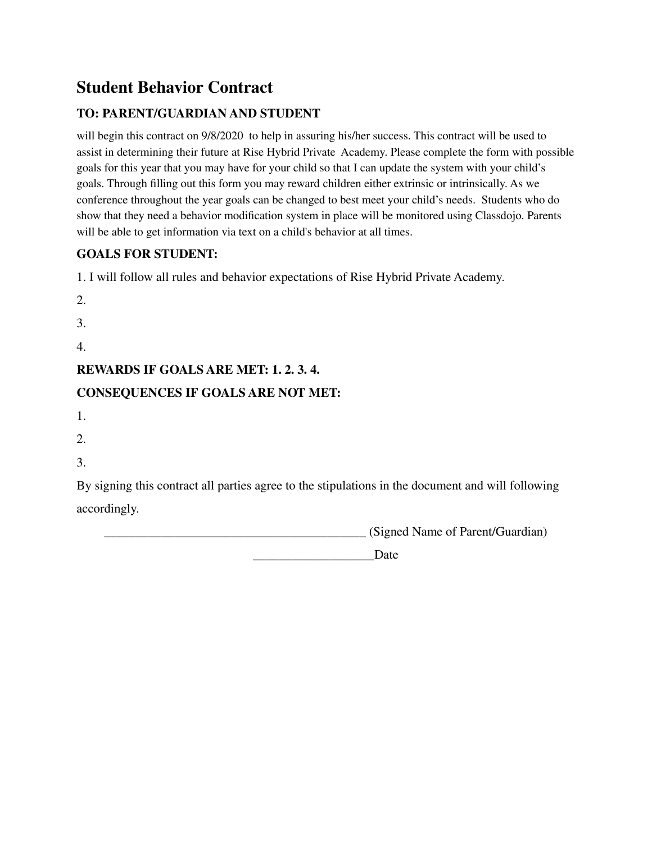## **Student Behavior Contract**

### **TO: PARENT/GUARDIAN AND STUDENT**

will begin this contract on  $9/8/2020$  to help in assuring his/her success. This contract will be used to assist in determining their future at Rise Hybrid Private Academy. Please complete the form with possible goals for this year that you may have for your child so that I can update the system with your child's goals. Through filling out this form you may reward children either extrinsic or intrinsically. As we conference throughout the year goals can be changed to best meet your child's needs. Students who do show that they need a behavior modification system in place will be monitored using Classdojo. Parents will be able to get information via text on a child's behavior at all times.

### **GOALS FOR STUDENT:**

1. I will follow all rules and behavior expectations of Rise Hybrid Private Academy.

- 2.
- 3.
- 4.

### **REWARDS IF GOALS ARE MET: 1. 2. 3. 4.**

### **CONSEQUENCES IF GOALS ARE NOT MET:**

- 1.
- 2.
- 3.

By signing this contract all parties agree to the stipulations in the document and will following accordingly.

\_\_\_\_\_\_\_\_\_\_\_\_\_\_\_\_\_\_\_\_\_\_\_\_\_\_\_\_\_\_\_\_\_\_\_\_\_\_\_\_\_ (Signed Name of Parent/Guardian)

Date